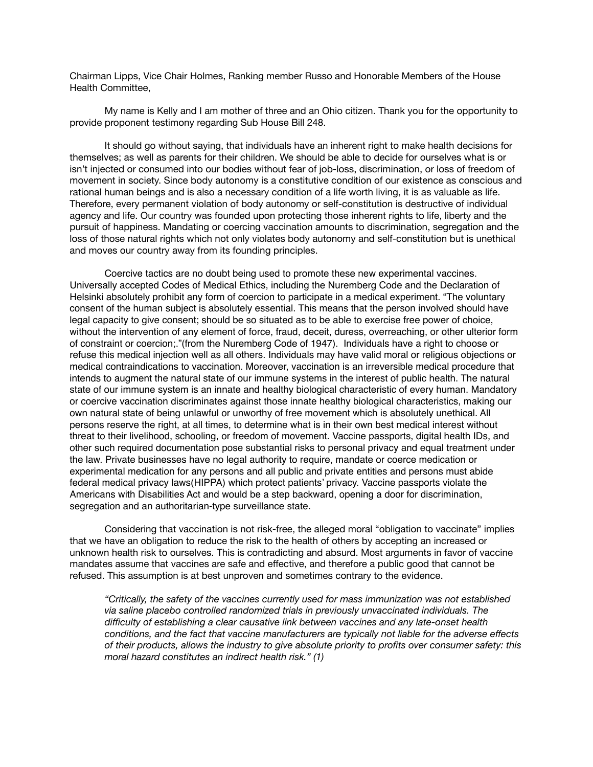Chairman Lipps, Vice Chair Holmes, Ranking member Russo and Honorable Members of the House Health Committee, 

My name is Kelly and I am mother of three and an Ohio citizen. Thank you for the opportunity to provide proponent testimony regarding Sub House Bill 248.

It should go without saying, that individuals have an inherent right to make health decisions for themselves; as well as parents for their children. We should be able to decide for ourselves what is or isn't injected or consumed into our bodies without fear of job-loss, discrimination, or loss of freedom of movement in society. Since body autonomy is a constitutive condition of our existence as conscious and rational human beings and is also a necessary condition of a life worth living, it is as valuable as life. Therefore, every permanent violation of body autonomy or self-constitution is destructive of individual agency and life. Our country was founded upon protecting those inherent rights to life, liberty and the pursuit of happiness. Mandating or coercing vaccination amounts to discrimination, segregation and the loss of those natural rights which not only violates body autonomy and self-constitution but is unethical and moves our country away from its founding principles.

Coercive tactics are no doubt being used to promote these new experimental vaccines. Universally accepted Codes of Medical Ethics, including the Nuremberg Code and the Declaration of Helsinki absolutely prohibit any form of coercion to participate in a medical experiment. "The voluntary consent of the human subject is absolutely essential. This means that the person involved should have legal capacity to give consent; should be so situated as to be able to exercise free power of choice, without the intervention of any element of force, fraud, deceit, duress, overreaching, or other ulterior form of constraint or coercion;."(from the Nuremberg Code of 1947). Individuals have a right to choose or refuse this medical injection well as all others. Individuals may have valid moral or religious objections or medical contraindications to vaccination. Moreover, vaccination is an irreversible medical procedure that intends to augment the natural state of our immune systems in the interest of public health. The natural state of our immune system is an innate and healthy biological characteristic of every human. Mandatory or coercive vaccination discriminates against those innate healthy biological characteristics, making our own natural state of being unlawful or unworthy of free movement which is absolutely unethical. All persons reserve the right, at all times, to determine what is in their own best medical interest without threat to their livelihood, schooling, or freedom of movement. Vaccine passports, digital health IDs, and other such required documentation pose substantial risks to personal privacy and equal treatment under the law. Private businesses have no legal authority to require, mandate or coerce medication or experimental medication for any persons and all public and private entities and persons must abide federal medical privacy laws(HIPPA) which protect patients' privacy. Vaccine passports violate the Americans with Disabilities Act and would be a step backward, opening a door for discrimination, segregation and an authoritarian-type surveillance state.

Considering that vaccination is not risk-free, the alleged moral "obligation to vaccinate" implies that we have an obligation to reduce the risk to the health of others by accepting an increased or unknown health risk to ourselves. This is contradicting and absurd. Most arguments in favor of vaccine mandates assume that vaccines are safe and effective, and therefore a public good that cannot be refused. This assumption is at best unproven and sometimes contrary to the evidence.

*"Critically, the safety of the vaccines currently used for mass immunization was not established*  via saline placebo controlled randomized trials in previously unvaccinated individuals. The *difficulty of establishing a clear causative link between vaccines and any late-onset health conditions, and the fact that vaccine manufacturers are typically not liable for the adverse effects of their products, allows the industry to give absolute priority to profits over consumer safety: this moral hazard constitutes an indirect health risk." (1)*